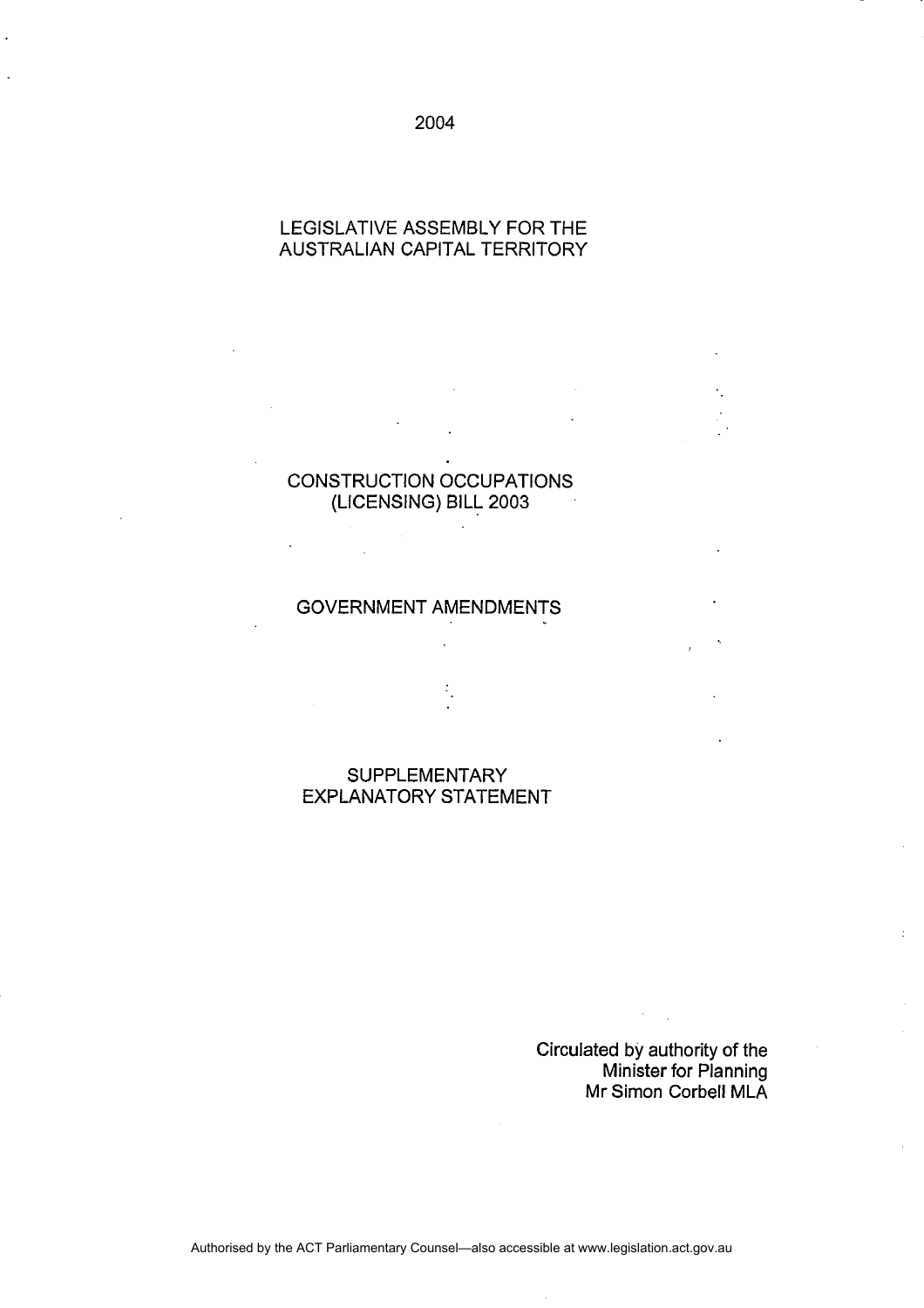# 2004

# LEGISLATIVE ASSEMBLY FOR THE AUSTRALIAN CAPITAL TERRITORY

# CONSTRUCTION OCCUPATIONS (LICENSING) BILL 2003

 $\mathbb{Z}^2$ 

# GOVERNMENT AMENDMENTS

SUPPLEMENTARY EXPLANATORY STATEMENT

> Circulated by authority of the Minister for Planning Mr Simon Corbell MLA

Authorised by the ACT Parliamentary Counsel—also accessible at www.legislation.act.gov.au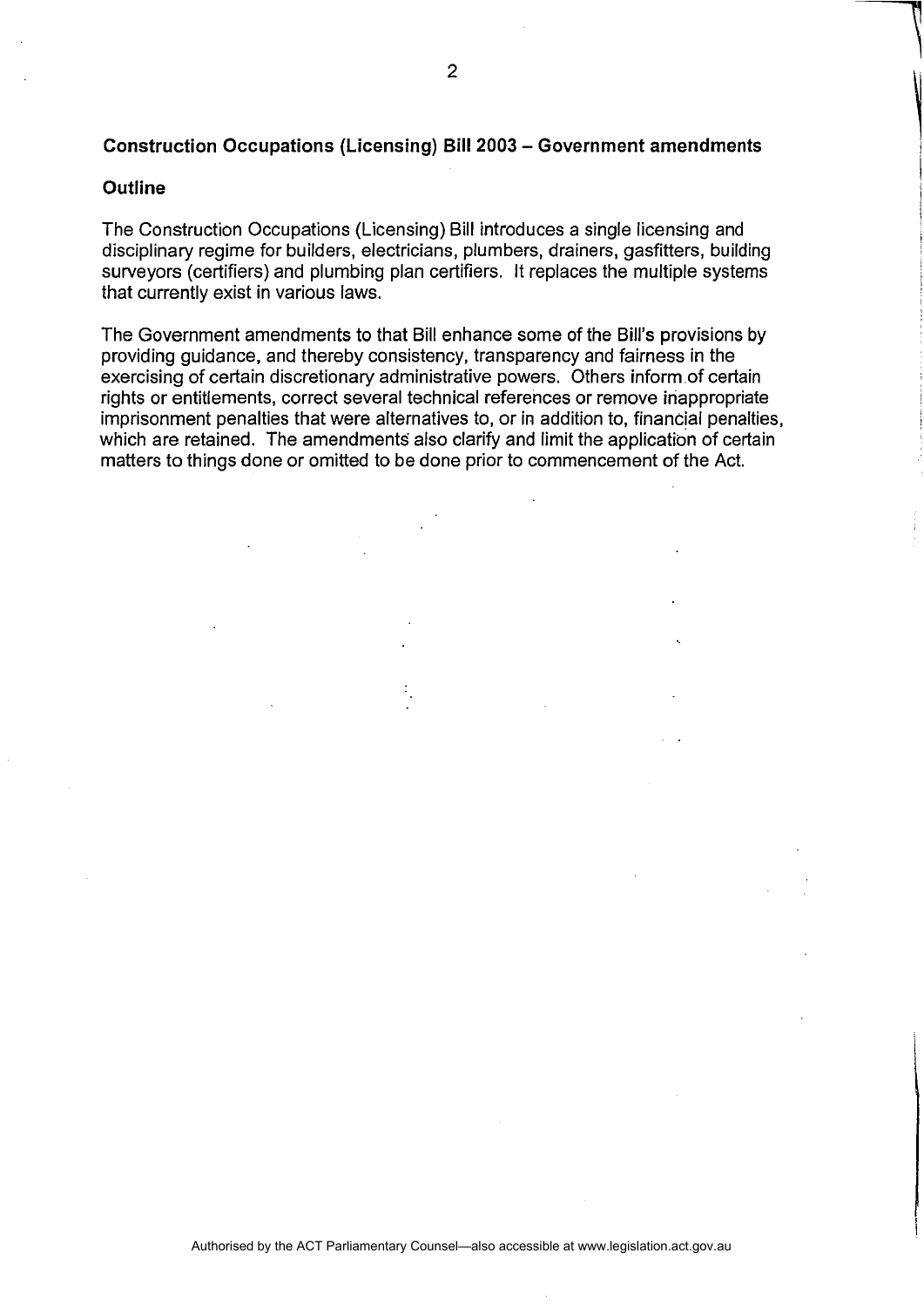# **Construction Occupations (Licensing) Bill 2003 - Government amendments**

#### **Outline**

The Construction Occupations (Licensing) Bill introduces a single licensing and disciplinary regime for builders, electricians, plumbers, drainers, gasfitters, building surveyors (certifiers) and plumbing plan certifiers. It replaces the multiple systems that currently exist in various laws.

The Government amendments to that Bill enhance some of the Bill's provisions by providing guidance, and thereby consistency, transparency and fairness in the exercising of certain discretionary administrative powers. Others inform of certain rights or entitlements, correct several technical references or remove inappropriate imprisonment penalties that were alternatives to, or in addition to, financial penalties, which are retained. The amendments also clarify and limit the application of certain matters to things done or omitted to be done prior to commencement of the Act.

 $\overline{\phantom{a}}$ 

 $\overline{\phantom{a}}$ I I **International**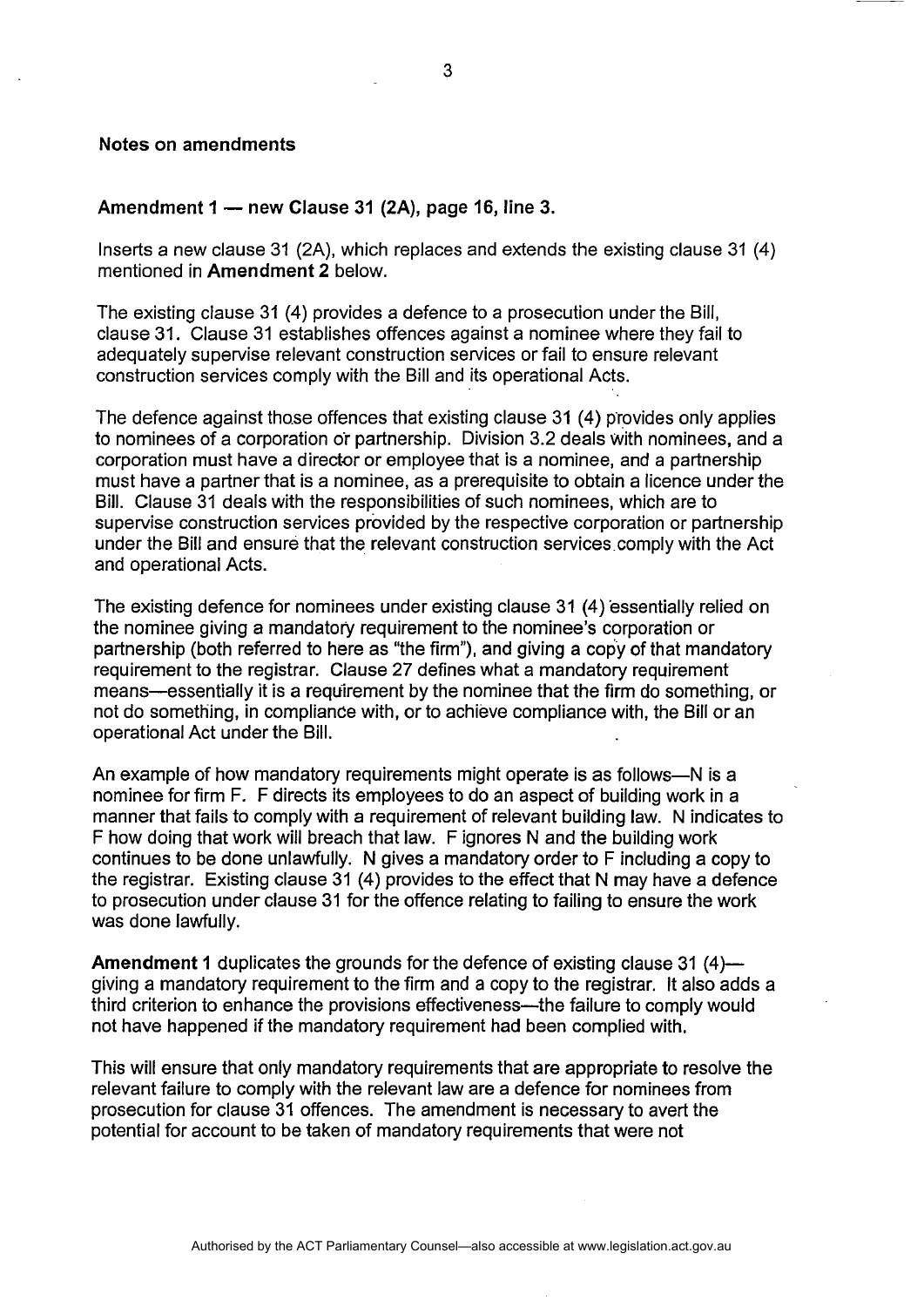#### Notes on amendments

#### Amendment  $1 -$  new Clause 31 (2A), page 16, line 3.

Inserts a new clause 31 (2A), which replaces and extends the existing clause 31 (4) mentioned in Amendment 2 below.

The existing clause 31 (4) provides a defence to a prosecution under the Bill, clause 31. Clause 31 establishes offences against a nominee where they fail to adequately supervise relevant construction services or fail to ensure relevant construction services comply with the Bill and its operational Acts.

The defence against those offences that existing clause  $31(4)$  provides only applies to nominees of a corporation o'r partnership. Division 3.2 deals with nominees, and a corporation must have a director or employee that is a nominee, and a partnership must have a partner that is a nominee, as a prerequisite to obtain a licence under the Bill. Clause 31 deals with the responsibilities of such nominees, which are to supervise construction services provided by the respective corporation or partnership under the Bill and ensure that the relevant construction services comply with the Act and operational Acts.

The existing defence for nominees under existing clause 31 (4) essentially relied on the nominee giving a mandatory requirement to the nominee's corporation or partnership (both referred to here as "the firm"), and giving a copy of that mandatory requirement to the registrar. Clause 27 defines what a mandatory requirement means—essentially it is a requirement by the nominee that the firm do something, or not do something, in compliance with, or to achieve compliance with, the Bill or an operational Act under the Bill.

An example of how mandatory requirements might operate is as follows--N is a nominee for firm F. F directs its employees to do an aspect of building work in a manner that fails to comply with a requirement of relevant building law. N indicates to F how doing that work will breach that law. F ignores N and the building work continues to be done unlawfully. N gives a mandatory order to F including a copy to the registrar. Existing clause 31 (4) provides to the effect that N may have a defence to prosecution under clause 31 for the offence relating to failing to ensure the work was done lawfully.

Amendment 1 duplicates the grounds for the defence of existing clause 31 (4)giving a mandatory requirement to the firm and a copy to the registrar. It also adds a third criterion to enhance the provisions effectiveness—the failure to comply would not have happened if the mandatory requirement had been complied with.

This will ensure that only mandatory requirements that are appropriate to resolve the relevant failure to comply with the relevant law are a defence for nominees from prosecution for clause 31 offences. The amendment is necessary to avert the potential for account to be taken of mandatory requirements that were not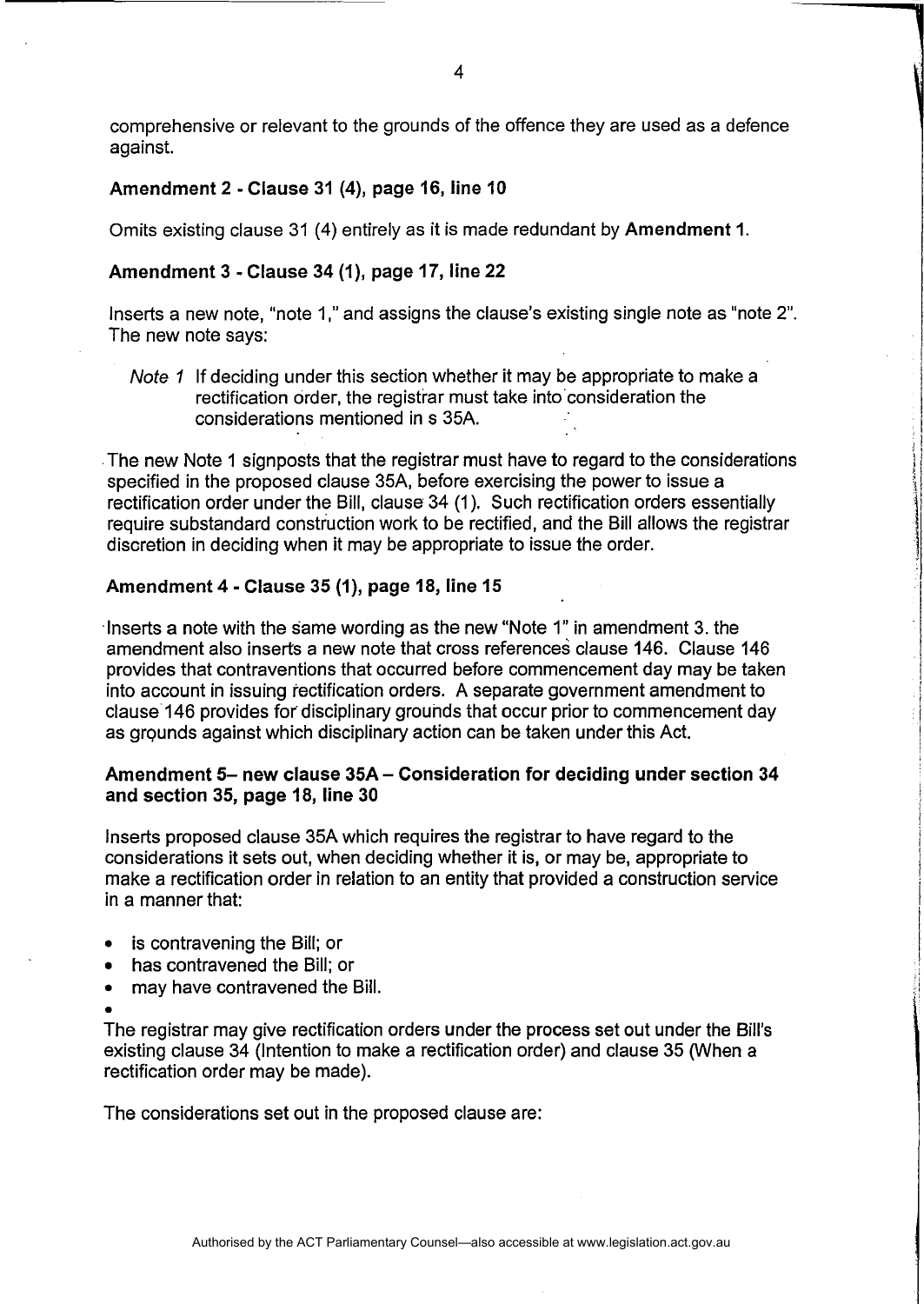comprehensive or relevant to the grounds of the offence they are used as a defence against.

# Amendment 2· Clause 31 (4), page 16, line 10

Omits existing clause 31 (4) entirely as it is made redundant by Amendment 1.

### Amendment 3 • Clause 34 (1), page 17, line 22

Inserts a new note, "note 1," and assigns the clause's existing single note as "note 2". The new note says:

Note 1 If deciding under this section whether it may be appropriate to make a rectification order, the registrar must take into consideration the considerations mentioned in s 35A .

. The new Note 1 signposts that the registrar must have to regard to the considerations specified in the proposed clause 35A, before exercising the power to issue a rectification order under the Bill, clause 34 (1). Such rectification orders essentially require substandard construction work to be rectified, and the Bill allows the registrar discretion in deciding when it may be appropriate to issue the order.

### Amendment 4· Clause 35 (1), page 18, line 15

. Inserts a note with the same wording as the new "Note 1" in amendment 3. the amendment also inserts a new note that cross references clause 146. Clause 146 provides that contraventions that occurred before commencement day may be taken into account in issuing rectification orders. A separate government amendment to clause 146 provides for disciplinary grouhds that occur prior to commencement day as grounds against which disciplinary action can be taken under this Act.

# Amendment 5- new clause 35A - Consideration for deciding under section 34 and section 35, page 18, line 30

Inserts proposed clause 35A which requires the registrar to have regard to the considerations it sets out, when deciding whether it is, or may be, appropriate to make a rectification order in relation to an entity that provided a construction service in a manner that:

- is contravening the Bill; or
- has contravened the Bill; or
- may have contravened the Bill.
- •

The registrar may give rectification orders under the process set out under the Bill's existing clause 34 (Intention to make a rectification order) and clause 35 (When a rectification order may be made).

The considerations set out in the proposed clause are: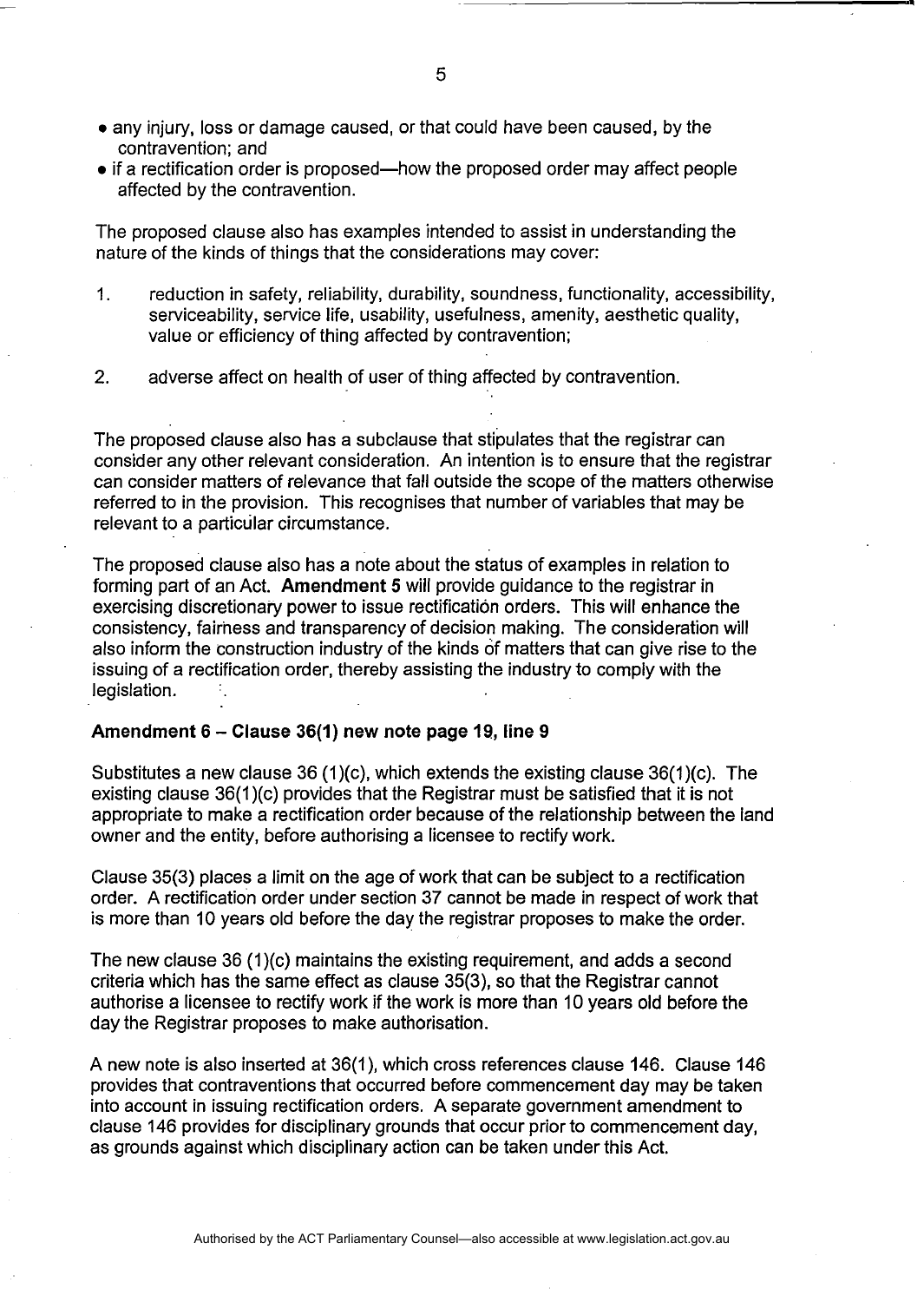- any injury, loss or damage caused, or that could have been caused, by the contravention; and
- if a rectification order is proposed—how the proposed order may affect people affected by the contravention.

The proposed clause also has examples intended to assist in understanding the nature of the kinds of things that the considerations may cover:

- 1. reduction in safety, reliability, durability, soundness, functionality, accessibility, serviceability, service life, usability, usefulness, amenity, aesthetic quality, value or efficiency of thing affected by contravention;
- 2. adverse affect on health of user of thing affected by contravention.

The proposed clause also has a subclause that stipulates that the registrar can consider any other relevant consideration. An intention is to ensure that the registrar can consider matters of relevance that fall outside the scope of the matters otherwise referred to in the provision. This recognises that number of variables that may be relevant to a particular circumstance.

The proposed clause also has a note about the status of examples in relation to forming part of an Act. **Amendment 5** will provide guidance to the registrar in exercising discretionary power to issue rectification orders. This will enhance the consistency, fairness and transparency of decision making. The consideration will also inform the construction industry of the kinds of matters that can give rise to the issuing of a rectification order, thereby assisting the industry to comply with the legislation. .

## **Amendment 6 - Clause 36(1) new note page 19, line 9**

Substitutes a new clause  $36 (1)(c)$ , which extends the existing clause  $36(1)(c)$ . The existing clause 36(1 )(c) provides that the Registrar must be satisfied that it is not appropriate to make a rectification order because of the relationship between the land owner and the entity, before authorising a licensee to rectify work.

Clause 35(3) places a limit on the age of work that can be subject to a rectification order. A rectification order under section 37 cannot be made in respect of work that is more than 10 years old before the day the registrar proposes to make the order.

The new clause 36 (1 )(c) maintains the existing requirement, and adds a second criteria which has the same effect as clause 35(3), so that the Registrar cannot authorise a licensee to rectify work if the work is more than 10 years old before the day the Registrar proposes to make authorisation.

A new note is also inserted at 36(1), which cross references clause 146. Clause 146 provides that contraventions that occurred before commencement day may be taken into account in issuing rectification orders. A separate government amendment to clause 146 provides for disciplinary grounds that occur prior to commencement day, as grounds against which disciplinary action can be taken under this Act.

----------------------------------------~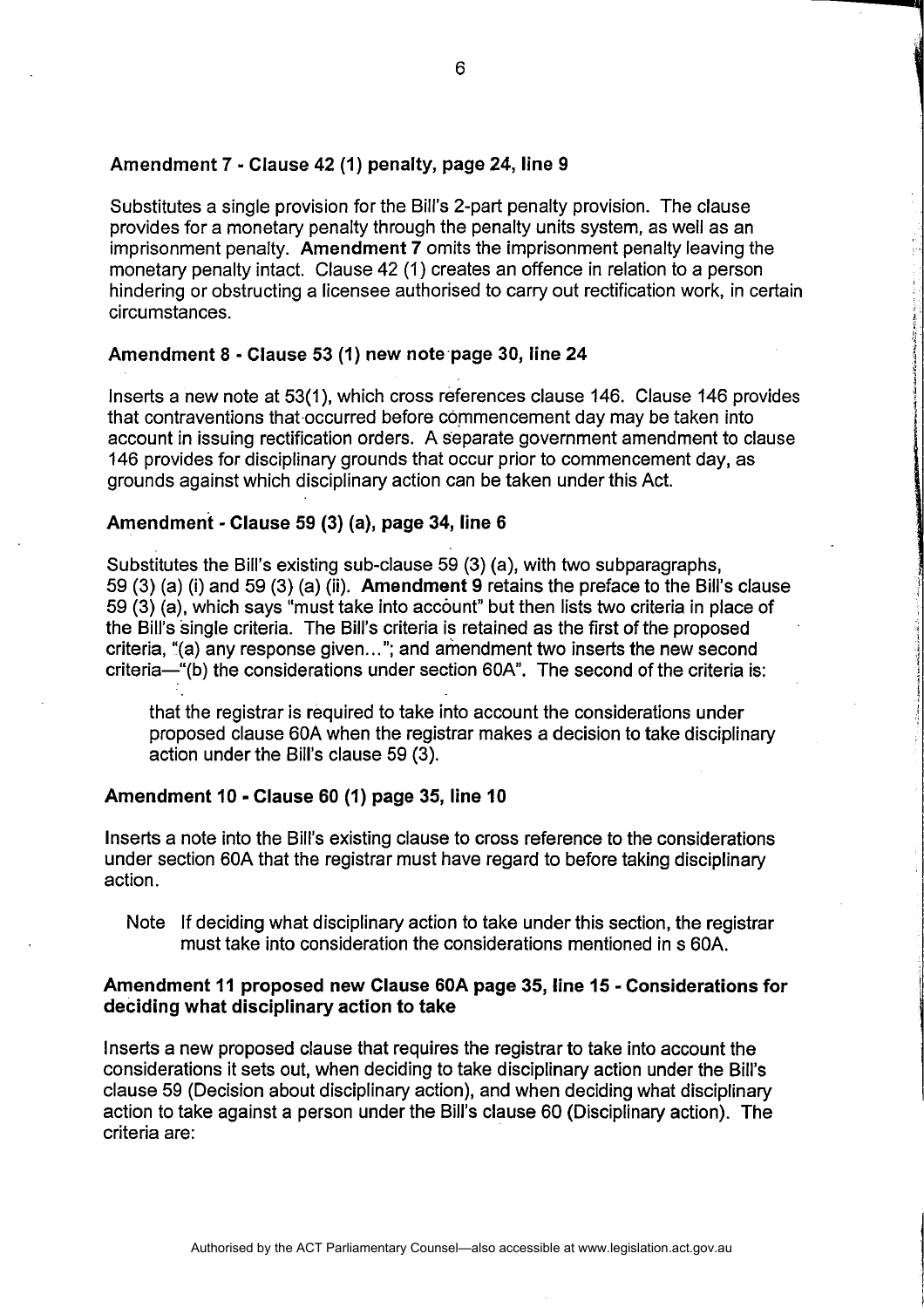#### Amendment 7 - Clause 42 (1) penalty, page 24, line 9

Substitutes a single provision for the Bill's 2-part penalty provision. The clause provides for a monetary penalty through the penalty units system, as well as an imprisonment penalty. Amendment 7 omits the imprisonment penalty leaving the monetary penalty intact. Clause 42 (1) creates an offence in relation to a person hindering or obstructing a licensee authorised to carry out rectification work, in certain circumstances.

### Amendment 8 - Clause 53 (1) new note·page 30, line 24

Inserts a new note at 53(1), which cross references clause 146. Clause 146 provides that contraventions that occurred before commencement day may be taken into account in issuing rectification orders. A separate government amendment to clause 146 provides for disciplinary grounds that occur prior to commencement day, as grounds against which disciplinary action can be taken under this Act.

#### Amendment - Clause 59 (3) (a), page 34, line 6

Substitutes the Bill's existing sub-clause 59 (3) (a), with two subparagraphs, 59 (3) (a) (i) and 59 (3) (a) (ii). Amendment 9 retains the preface to the Bill's clause 59 (3) (a), which says "must take into account" but then lists two criteria in place of the Bill's single criteria. The Bill's criteria is retained as the first of the proposed criteria, "(a) any response given ... "; and amendment two inserts the new second criteria-"(b) the considerations under section 60A". The second of the criteria is:

that the registrar is required to take into account the considerations under proposed clause 60A when the registrar makes a decision to take disciplinary action under the Bill's clause 59 (3).

#### Amendment 10 - Clause 60 (1) page 35, line 10

Inserts a note into the Bill's existing clause to cross reference to the considerations under section 60A that the registrar must have regard to before taking disciplinary action.

Note If deciding what disciplinary action to take under this section, the registrar must take into consideration the considerations mentioned in s 60A.

I

I

#### Amendment 11 proposed new Clause 60A page 35, line 15 - Considerations for deciding what disciplinary action to take

Inserts a new proposed clause that requires the registrar to take into account the considerations it sets out, when deciding to take disciplinary action under the Bill's clause 59 (Decision about disciplinary action), and when deciding what disciplinary action to take against a person under the Bill's clause 60 (Disciplinary action). The criteria are: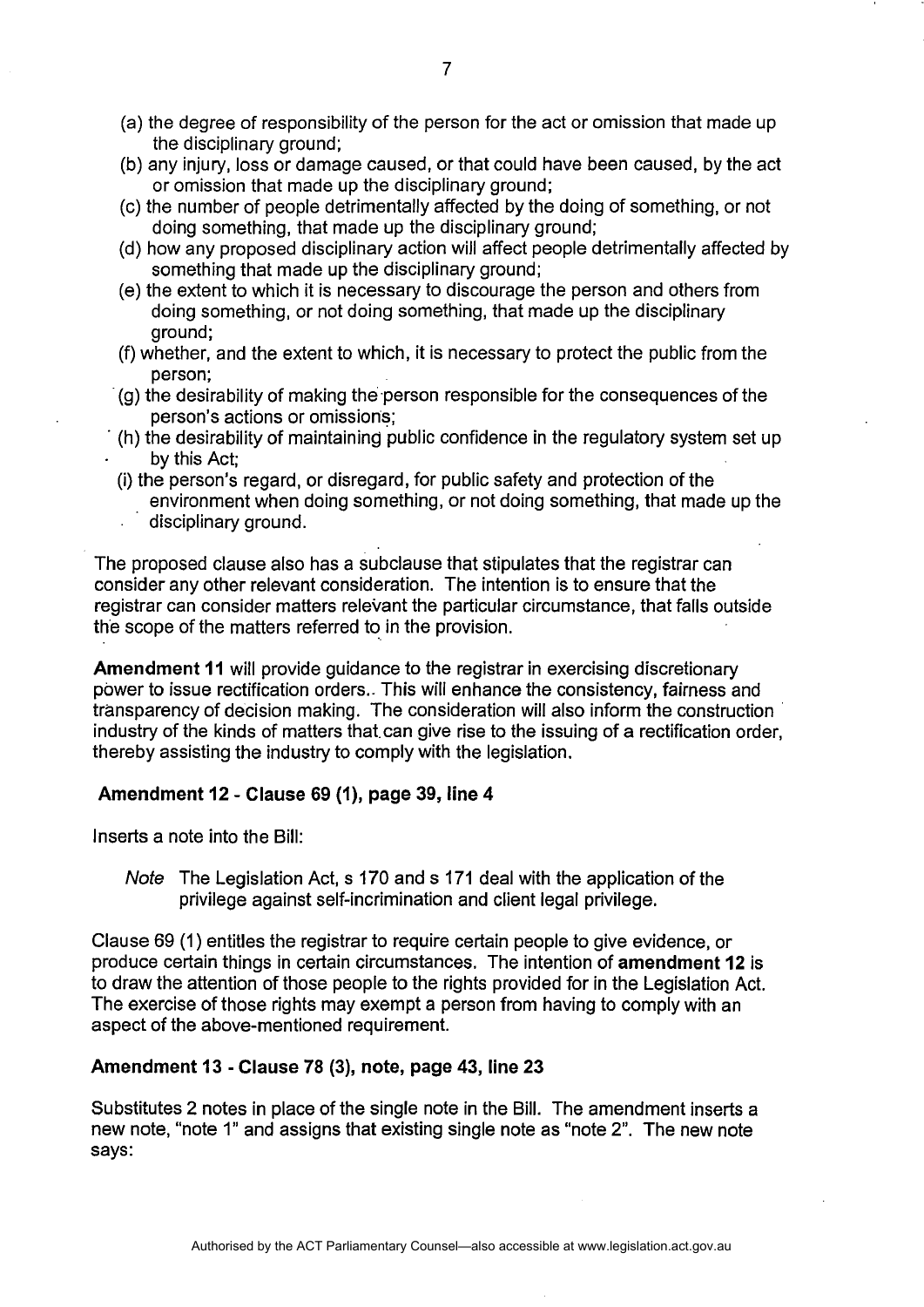- (a) the degree of responsibility of the person for the act or omission that made up the disciplinary ground;
- (b) any injury, loss or damage caused, or that could have been caused, by the act or omission that made up the disciplinary ground;
- (c) the number of people detrimentally affected by the doing of something, or not doing something, that made up the disciplinary ground;
- (d) how any proposed disciplinary action will affect people detrimentally affected by something that made up the disciplinary ground;
- (e) the extent to which it is necessary to discourage the person and others from doing something, or not doing something, that made up the disciplinary ground;
- (f) whether, and the extent to which, it is necessary to protect the public from the person;
- -(g) the desirability of making the person responsible for the consequences of the person's actions or omissions;
- . (h) the desirability of maintaining public confidence in the regulatory system set up by this Act;
- (i) the person's regard, or disregard, for public safety and protection of the environment when doing something, or not doing something, that made up the disciplinary ground.

The proposed clause also has a subclause that stipulates that the registrar can consider any other relevant consideration. The intention is to ensure that the registrar can consider matters relevant the particular circumstance, that falls outside the scope of the matters referred to in the provision.

Amendment 11 will provide guidance to the registrar in exercising discretionary power to issue rectification orders .. This will enhance the consistency, fairness and transparency of decision making. The consideration will also inform the construction industry of the kinds of matters that. can give rise to the issuing of a rectification order, thereby assisting the industry to comply with the legislation.

# Amendment 12 - Clause 69 (1), page 39, line 4

Inserts a note into the Bill:

Note The Legislation Act, s 170 and s 171 deal with the application of the privilege against self-incrimination and client legal privilege.

Clause 69 (1) entitles the registrar to require certain people to give evidence, or produce certain things in certain circumstances. The intention of amendment 12 is to draw the attention of those people to the rights provided for in the Legislation Act. The exercise of those rights may exempt a person from having to comply with an aspect of the above-mentioned requirement.

# Amendment 13 - Clause 78 (3), note, page 43, line 23

Substitutes 2 notes in place of the single note in the Bill. The amendment inserts a new note, "note 1" and assigns that existing single note as "note 2". The new note says: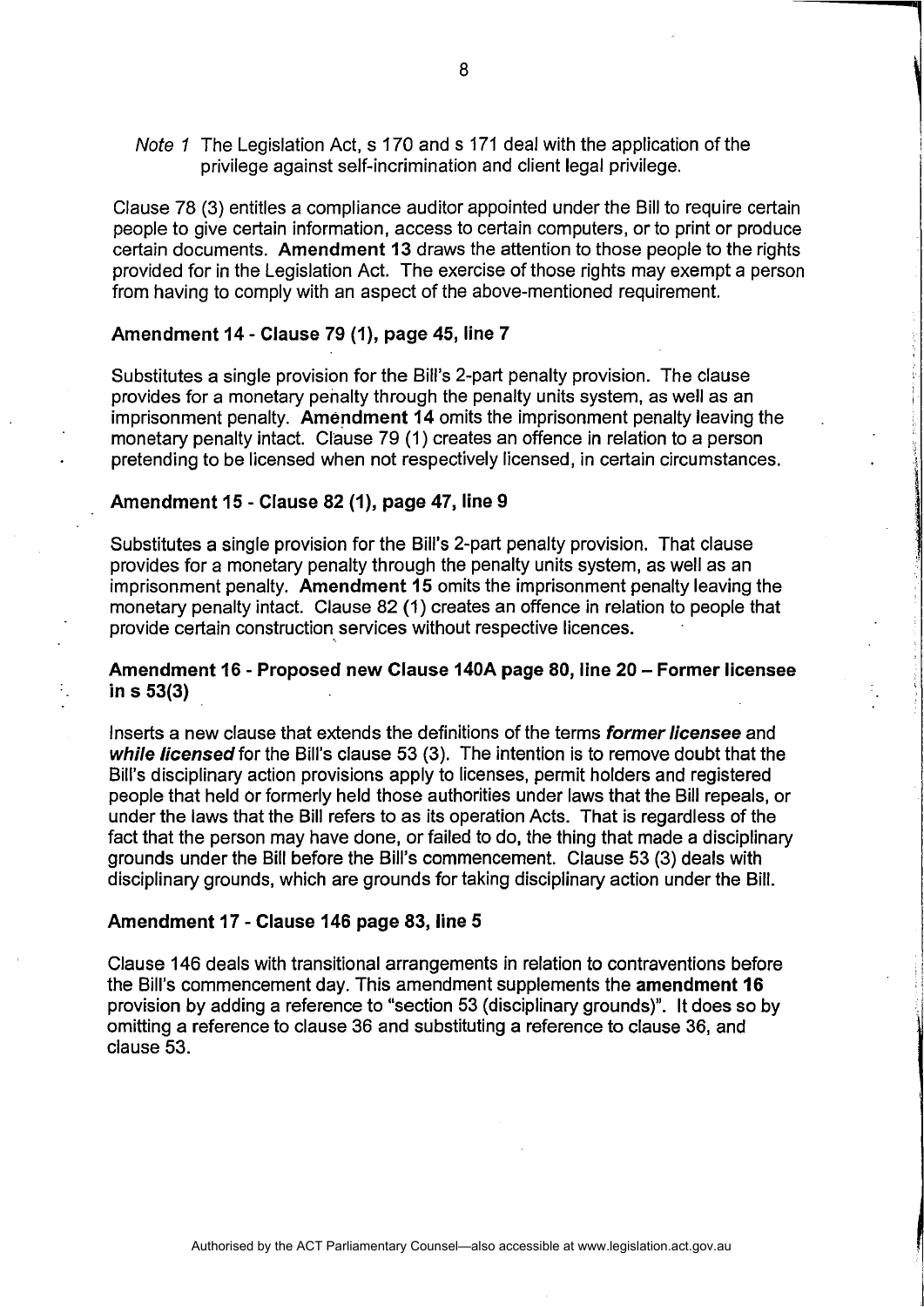Note 1 The Legislation Act, s 170 and s 171 deal with the application of the privilege against self-incrimination and client legal privilege.

Clause 78 (3) entitles a compliance auditor appointed under the Bill to require certain people to give certain information, access to certain computers, or to print or produce certain documents. Amendment 13 draws the attention to those people to the rights provided for in the Legislation Act. The exercise of those rights may exempt a person from having to comply with an aspect of the above-mentioned requirement.

# Amendment 14 - Clause 79 (1), page 45, line 7

Substitutes a single provision for the Bill's 2-part penalty provision. The clause provides for a monetary penalty through the penalty units system, as well as an imprisonment penalty. Amendment 14 omits the imprisonment penalty leaving the monetary penalty intact. Clause 79 (1) creates an offence in relation to a person pretending to be licensed when not respectively licensed, in certain circumstances.

#### Amendment 15 - Clause 82 (1), page 47, line 9

Substitutes a single provision for the Bill's 2-part penalty provision. That clause provides for a monetary penalty through the penalty units system, as well as an imprisonment penalty. Amendment 15 omits the imprisonment penalty leaving the monetary penalty intact. Clause 82 (1) creates an offence in relation to people that provide certain construction services without respective licences.

## Amendment 16 - Proposed new Clause 140A page 80, line 20 - Former licensee in s 53(3)

Inserts a new clause that extends the definitions of the terms former licensee and while licensed for the Bill's clause 53 (3). The intention is to remove doubt that the Bill's disciplinary action provisions apply to licenses, permit holders and registered people that held or formerly held those authorities under laws that the Bill repeals, or under the laws that the Bill refers to as its operation Acts. That is regardless of the fact that the person may have done, or failed to do, the thing that made a disciplinary grounds under the Bill before the Bill's commencement. Clause 53 (3) deals with disciplinary grounds, which are grounds for taking disciplinary action under the Bill.

#### Amendment 17 - Clause 146 page 83, line 5

Clause 146 deals with transitional arrangements in relation to contraventions before the Bill's commencement day. This amendment supplements the amendment 16 proVision by adding a reference to "section 53 (disciplinary grounds)". It does so by omitting a reference to clause 36 and substituting a reference to clause 36, and clause 53.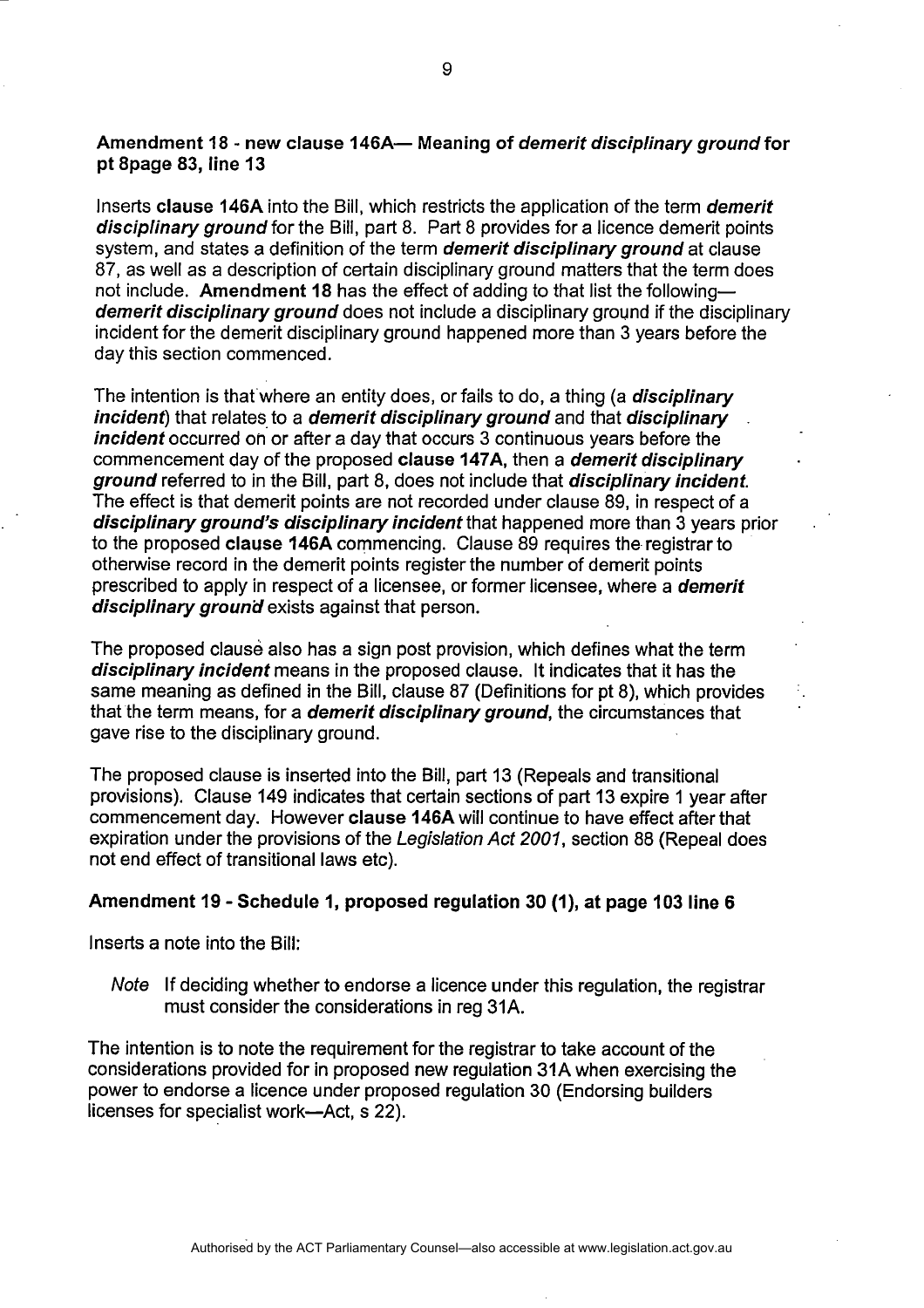# Amendment 18 - new clause 146A- Meaning of *demerit disciplinary ground* for pt 8page 83, line 13

Inserts clause 146A into the Bill, which restricts the application of the term demerit disciplinary ground for the Bill, part 8. Part 8 provides for a licence demerit points system, and states a definition of the term *demerit disciplinary ground* at clause 87, as well as a description of certain disciplinary ground matters that the term does not include. Amendment 18 has the effect of adding to that list the followingdemerit disciplinary ground does not include a disciplinary ground if the disciplinary incident for the demerit disciplinary ground happened more than 3 years before the day this section commenced.

The intention is that where an entity does, or fails to do, a thing (a **disciplinary** incident) that relates to a demerit disciplinary ground and that disciplinary incident occurred on or after a day that occurs 3 continuous years before the commencement day of the proposed clause 147A, then a *demerit disciplinary* ground referred to in the Bill, part 8, does not include that disciplinary incident. The effect is that demerit points are not recorded under clause 89, in respect of a disciplinary ground's disciplinary incident that happened more than 3 years prior to the proposed clause 146A commencing. Clause 89 requires the registrar to otherwise record in the demerit points register the number of demerit points prescribed to apply in respect of a licensee, or former licensee, where a *demerit* disciplinary ground exists against that person.

The proposed clause also has a sign post provision, which defines what the term disciplinary incident means in the proposed clause. It indicates that it has the same meaning as defined in the Bill, clause 87 (Definitions for pt 8), which provides that the term means, for a *demerit disciplinary ground*, the circumstances that gave rise to the disciplinary ground.

The proposed clause is inserted into the Bill, part 13 (Repeals and transitional provisions). Clause 149 indicates that certain sections of part 13 expire 1 year after commencement day. However clause 146Awill continue to have effect after that expiration under the provisions of the Legislation Act 2001, section 88 (Repeal does not end effect of transitional laws etc).

### Amendment 19 - Schedule 1, proposed regulation 30 (1), at page 103 line 6

Inserts a note into the Bill:

Note If deciding whether to endorse a licence under this regulation, the registrar must consider the considerations in reg 31A.

The intention is to note the requirement for the registrar to take account of the considerations provided for in proposed new regulation 31A when exercising the power to endorse a licence under proposed regulation 30 (Endorsing builders licenses for specialist work-Act, s 22).